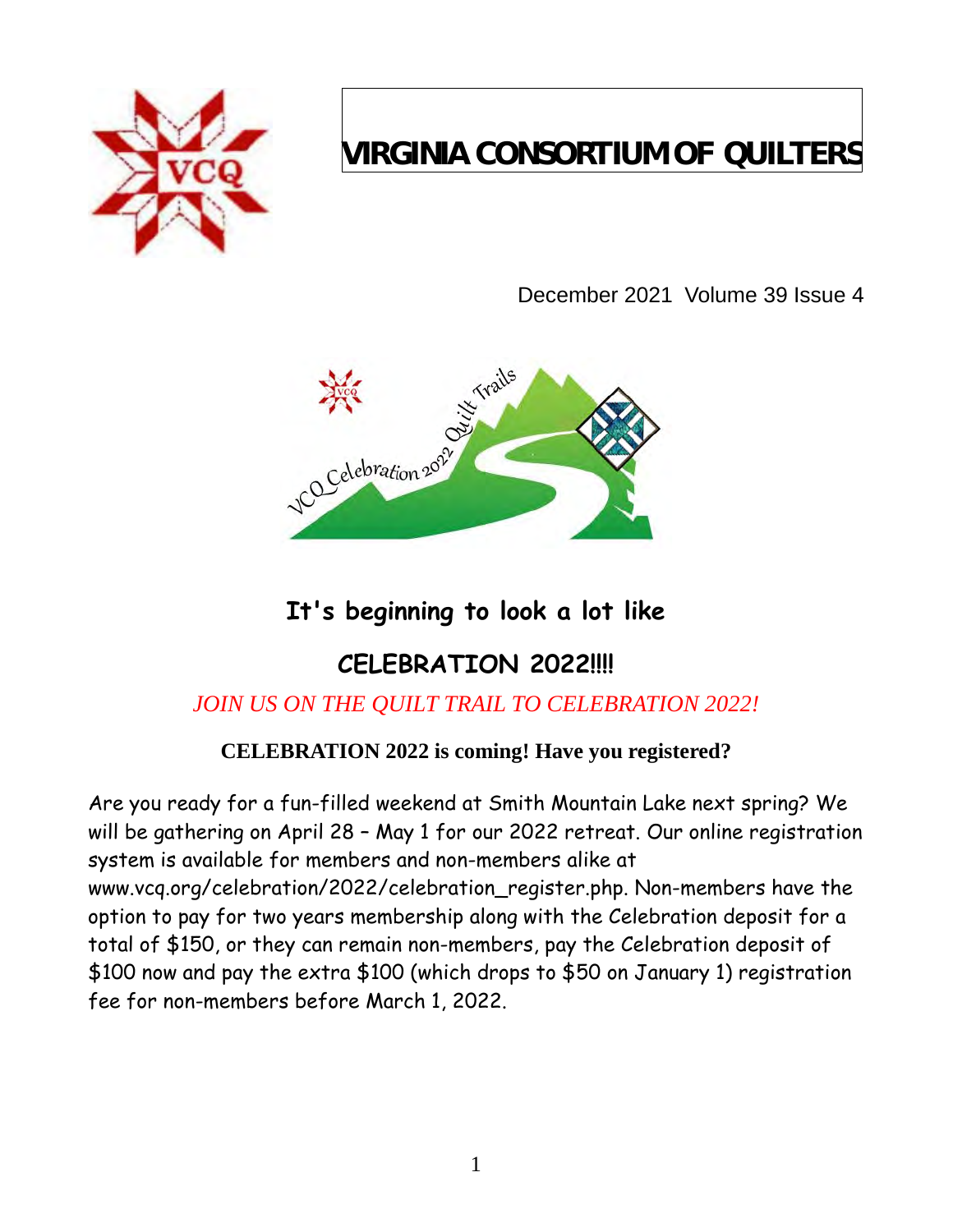

# **VIRGINIA CONSORTIUM OF QUILTERS**

December 2021 Volume 39 Issue 4



## **It's beginning to look a lot like**

## **CELEBRATION 2022!!!!**

## *JOIN US ON THE QUILT TRAIL TO CELEBRATION 2022!*

## **CELEBRATION 2022 is coming! Have you registered?**

Are you ready for a fun-filled weekend at Smith Mountain Lake next spring? We will be gathering on April 28 – May 1 for our 2022 retreat. Our online registration system is available for members and non-members alike at [www.vcq.org/celebration/2022/celebration\\_register.php.](http://www.vcq.org/celebration/2022/celebration_register.php) Non-members have the option to pay for two years membership along with the Celebration deposit for a total of \$150, or they can remain non-members, pay the Celebration deposit of \$100 now and pay the extra \$100 (which drops to \$50 on January 1) registration fee for non-members before March 1, 2022.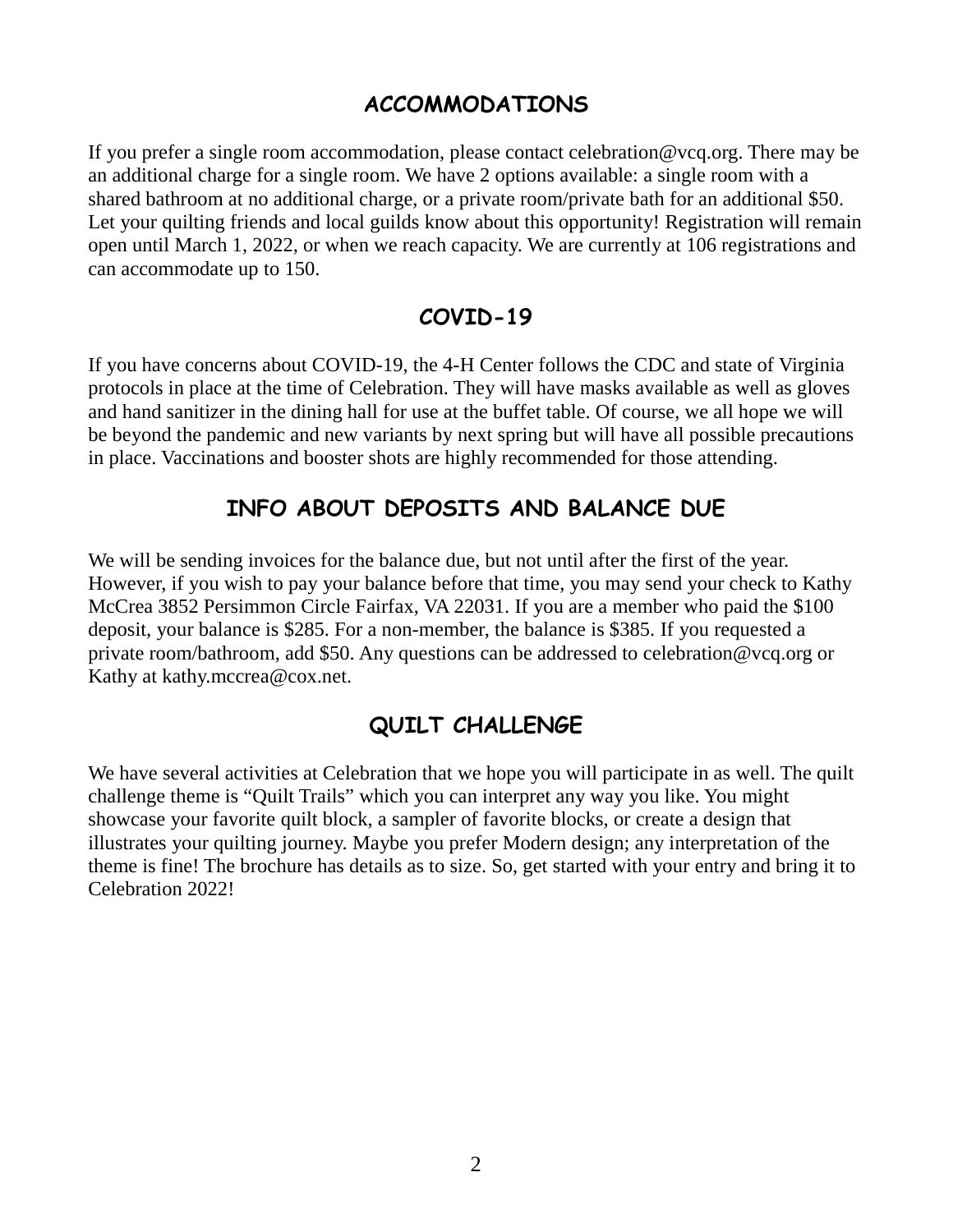### **ACCOMMODATIONS**

If you prefer a single room accommodation, please contact [celebration@vcq.org.](mailto:celebration@vcq.org) There may be an additional charge for a single room. We have 2 options available: a single room with a shared bathroom at no additional charge, or a private room/private bath for an additional \$50. Let your quilting friends and local guilds know about this opportunity! Registration will remain open until March 1, 2022, or when we reach capacity. We are currently at 106 registrations and can accommodate up to 150.

## **COVID-19**

If you have concerns about COVID-19, the 4-H Center follows the CDC and state of Virginia protocols in place at the time of Celebration. They will have masks available as well as gloves and hand sanitizer in the dining hall for use at the buffet table. Of course, we all hope we will be beyond the pandemic and new variants by next spring but will have all possible precautions in place. Vaccinations and booster shots are highly recommended for those attending.

## **INFO ABOUT DEPOSITS AND BALANCE DUE**

We will be sending invoices for the balance due, but not until after the first of the year. However, if you wish to pay your balance before that time, you may send your check to Kathy McCrea 3852 Persimmon Circle Fairfax, VA 22031. If you are a member who paid the \$100 deposit, your balance is \$285. For a non-member, the balance is \$385. If you requested a private room/bathroom, add \$50. Any questions can be addressed to [celebration@vcq.org](mailto:celebration@vcq.org) or Kathy at [kathy.mccrea@cox.net.](mailto:kathy.mccrea@cox.net)

## **QUILT CHALLENGE**

We have several activities at Celebration that we hope you will participate in as well. The quilt challenge theme is "Quilt Trails" which you can interpret any way you like. You might showcase your favorite quilt block, a sampler of favorite blocks, or create a design that illustrates your quilting journey. Maybe you prefer Modern design; any interpretation of the theme is fine! The brochure has details as to size. So, get started with your entry and bring it to Celebration 2022!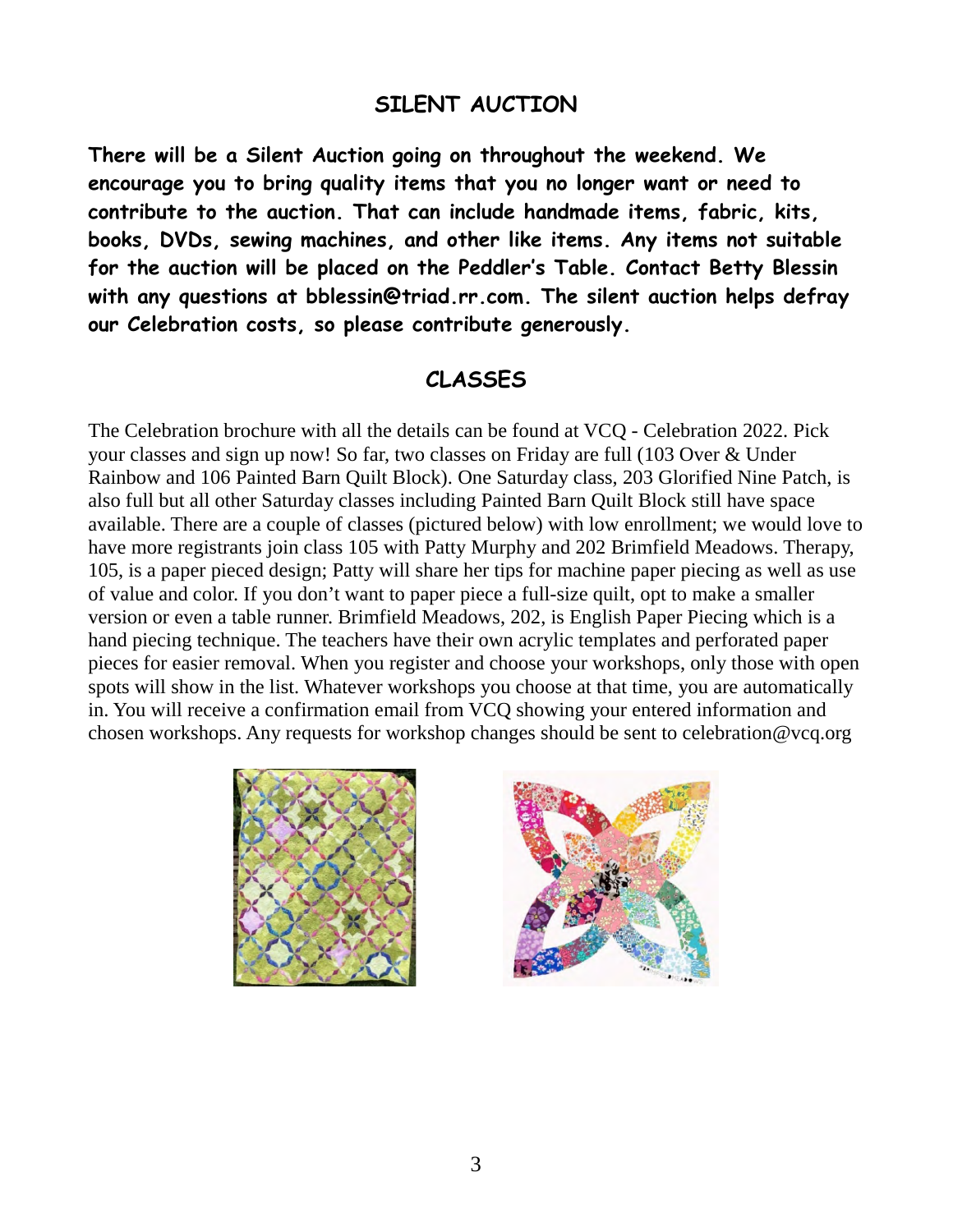### **SILENT AUCTION**

**There will be a Silent Auction going on throughout the weekend. We encourage you to bring quality items that you no longer want or need to contribute to the auction. That can include handmade items, fabric, kits, books, DVDs, sewing machines, and other like items. Any items not suitable for the auction will be placed on the Peddler's Table. Contact Betty Blessin with any questions at [bblessin@triad.rr.com.](mailto:bblessin@triad.rr.com) The silent auction helps defray our Celebration costs, so please contribute generously.**

### **CLASSES**

The Celebration brochure with all the details can be found at [VCQ - Celebration 2022.](http://www.vcq.org/celebration/2022/info.php) Pick your classes and sign up now! So far, two classes on Friday are full (103 Over & Under Rainbow and 106 Painted Barn Quilt Block). One Saturday class, 203 Glorified Nine Patch, is also full but all other Saturday classes including Painted Barn Quilt Block still have space available. There are a couple of classes (pictured below) with low enrollment; we would love to have more registrants join class 105 with Patty Murphy and 202 Brimfield Meadows. Therapy, 105, is a paper pieced design; Patty will share her tips for machine paper piecing as well as use of value and color. If you don't want to paper piece a full-size quilt, opt to make a smaller version or even a table runner. Brimfield Meadows, 202, is English Paper Piecing which is a hand piecing technique. The teachers have their own acrylic templates and perforated paper pieces for easier removal. When you register and choose your workshops, only those with open spots will show in the list. Whatever workshops you choose at that time, you are automatically in. You will receive a confirmation email from VCQ showing your entered information and chosen workshops. Any requests for workshop changes should be sent to [celebration@vcq.org](mailto:celebration@vcq.org)



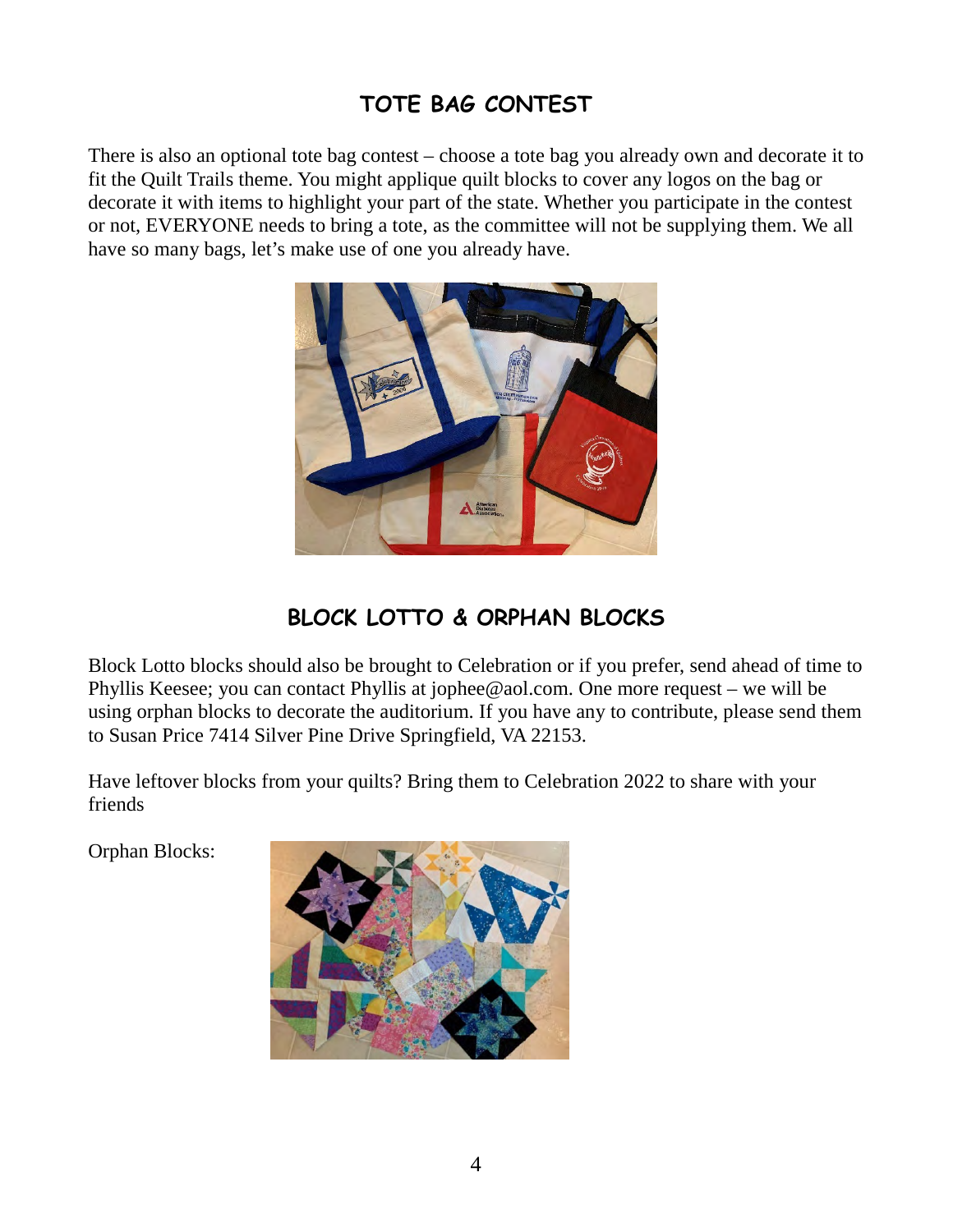## **TOTE BAG CONTEST**

There is also an optional tote bag contest – choose a tote bag you already own and decorate it to fit the Quilt Trails theme. You might applique quilt blocks to cover any logos on the bag or decorate it with items to highlight your part of the state. Whether you participate in the contest or not, EVERYONE needs to bring a tote, as the committee will not be supplying them. We all have so many bags, let's make use of one you already have.



## **BLOCK LOTTO & ORPHAN BLOCKS**

Block Lotto blocks should also be brought to Celebration or if you prefer, send ahead of time to Phyllis Keesee; you can contact Phyllis at [jophee@aol.com.](mailto:jophee@aol.com) One more request – we will be using orphan blocks to decorate the auditorium. If you have any to contribute, please send them to Susan Price 7414 Silver Pine Drive Springfield, VA 22153.

Have leftover blocks from your quilts? Bring them to Celebration 2022 to share with your friends

Orphan Blocks:

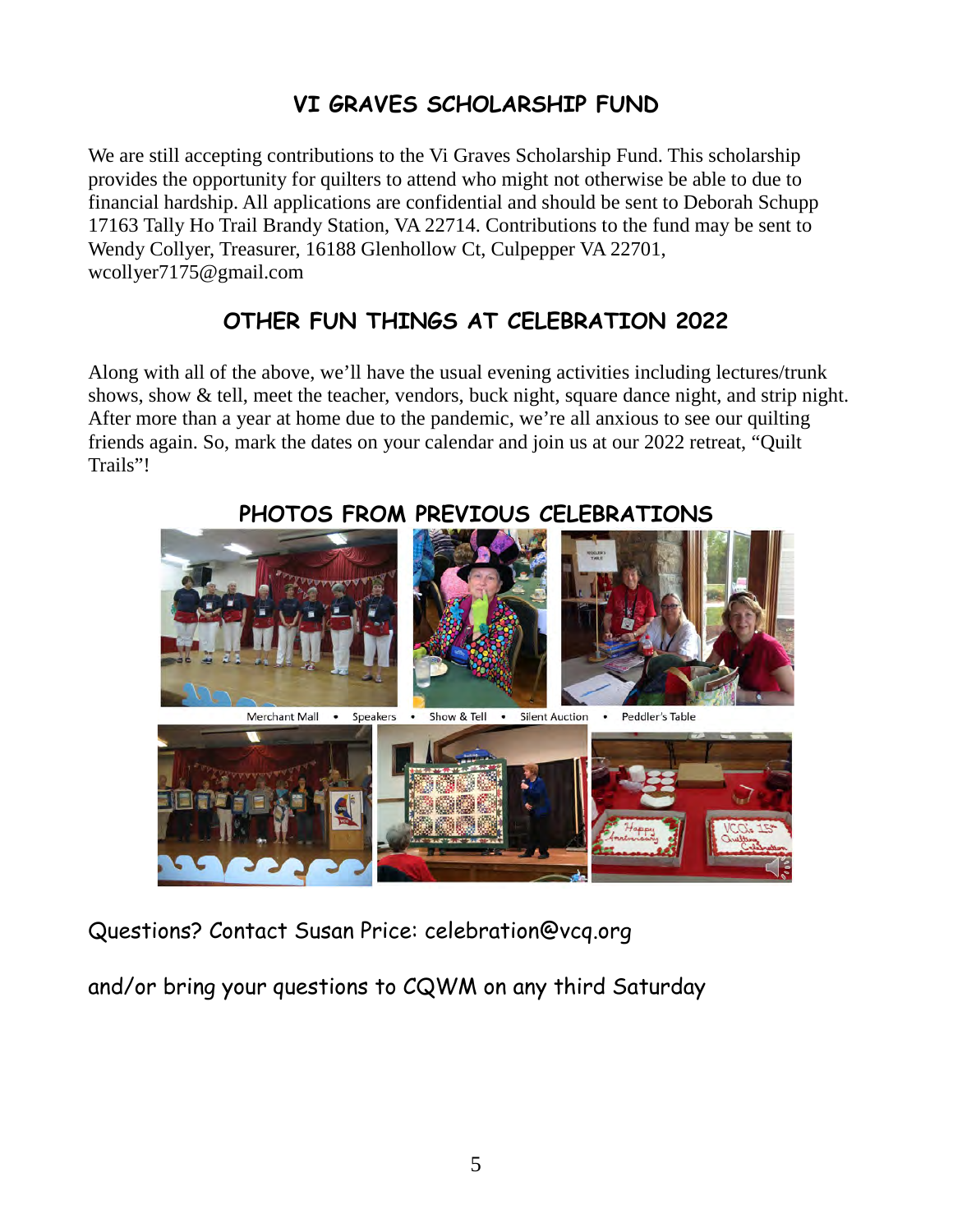## **VI GRAVES SCHOLARSHIP FUND**

We are still accepting contributions to the Vi Graves Scholarship Fund. This scholarship provides the opportunity for quilters to attend who might not otherwise be able to due to financial hardship. All applications are confidential and should be sent to Deborah Schupp 17163 Tally Ho Trail Brandy Station, VA 22714. Contributions to the fund may be sent to Wendy Collyer, Treasurer, 16188 Glenhollow Ct, Culpepper VA 22701, wcollyer7175@gmail.com

## **OTHER FUN THINGS AT CELEBRATION 2022**

Along with all of the above, we'll have the usual evening activities including lectures/trunk shows, show & tell, meet the teacher, vendors, buck night, square dance night, and strip night. After more than a year at home due to the pandemic, we're all anxious to see our quilting friends again. So, mark the dates on your calendar and join us at our 2022 retreat, "Quilt Trails"!



**PHOTOS FROM PREVIOUS CELEBRATIONS**

Questions? Contact Susan Price: [celebration@vcq.org](mailto:celebration@vcq.org)

and/or bring your questions to CQWM on any third Saturday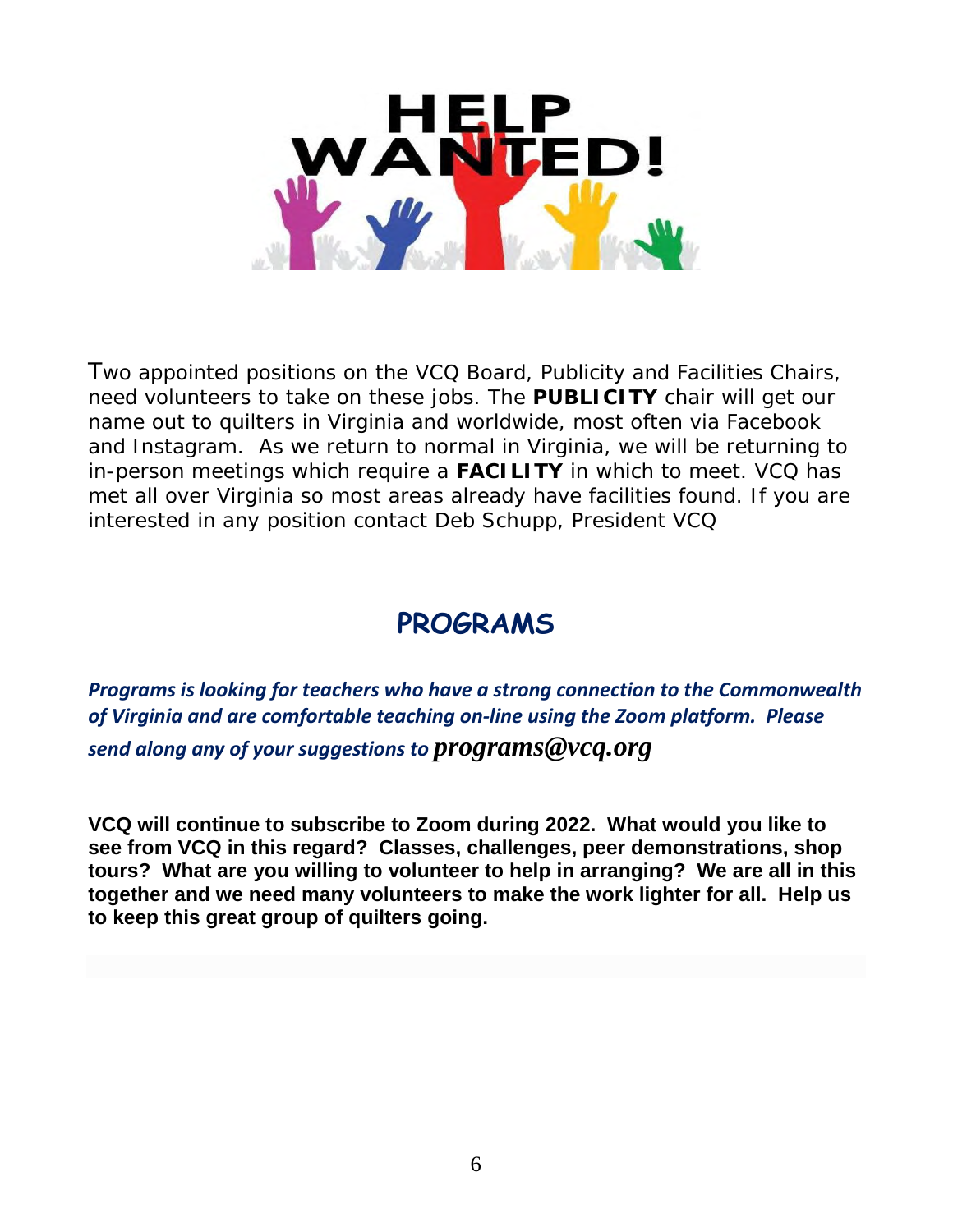

Two appointed positions on the VCQ Board, Publicity and Facilities Chairs, need volunteers to take on these jobs. The **PUBLICITY** chair will get our name out to quilters in Virginia and worldwide, most often via Facebook and Instagram. As we return to normal in Virginia, we will be returning to in-person meetings which require a **FACILITY** in which to meet. VCQ has met all over Virginia so most areas already have facilities found. If you are interested in any position contact Deb Schupp, President VCQ

## **PROGRAMS**

*Programs is looking for teachers who have a strong connection to the Commonwealth of Virginia and are comfortable teaching on-line using the Zoom platform. Please send along any of your suggestions to [programs@vcq.org](mailto:programs@vcq.org)*

**VCQ will continue to subscribe to Zoom during 2022. What would you like to see from VCQ in this regard? Classes, challenges, peer demonstrations, shop tours? What are you willing to volunteer to help in arranging? We are all in this together and we need many volunteers to make the work lighter for all. Help us to keep this great group of quilters going.**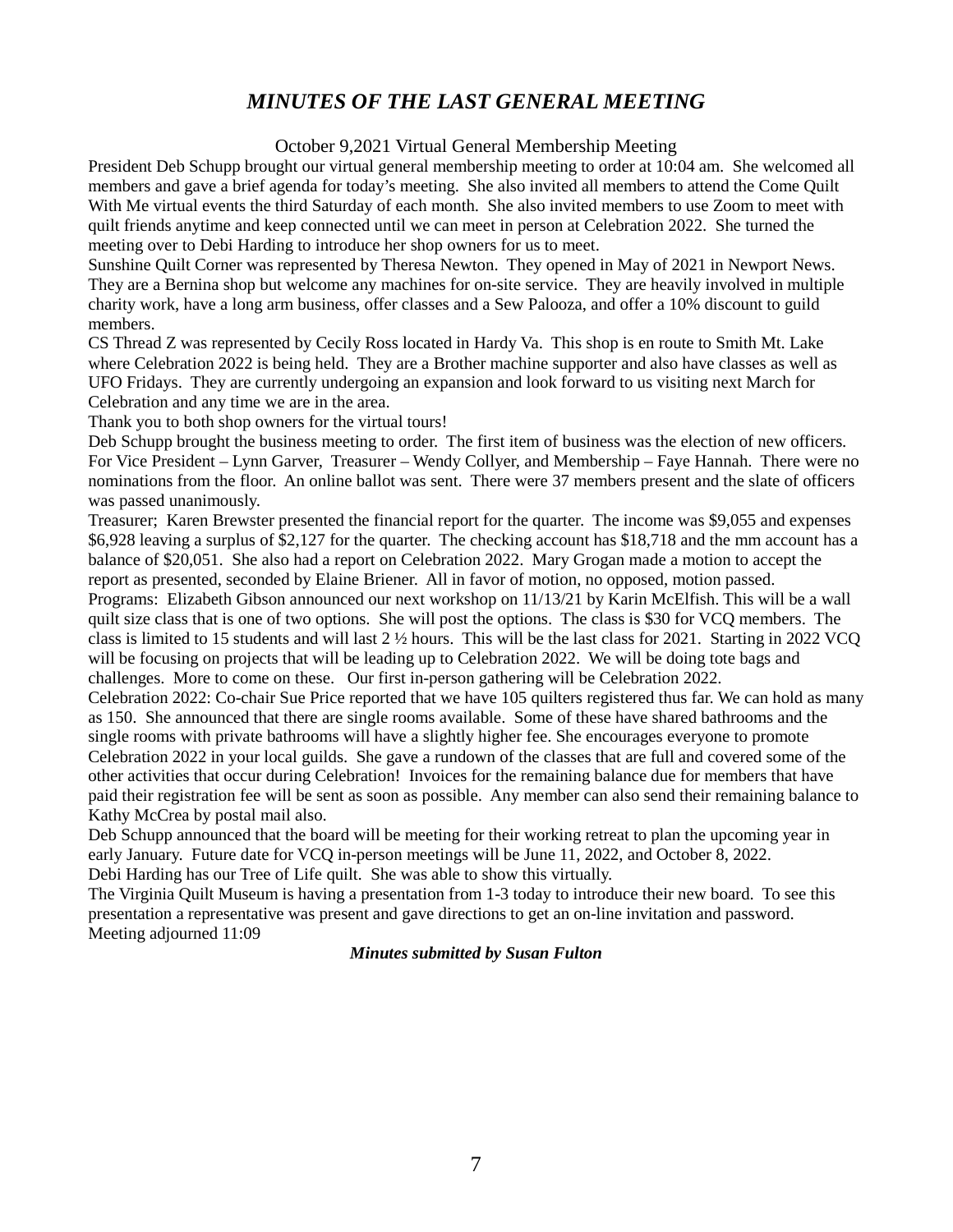### *MINUTES OF THE LAST GENERAL MEETING*

#### October 9,2021 Virtual General Membership Meeting

President Deb Schupp brought our virtual general membership meeting to order at 10:04 am. She welcomed all members and gave a brief agenda for today's meeting. She also invited all members to attend the Come Quilt With Me virtual events the third Saturday of each month. She also invited members to use Zoom to meet with quilt friends anytime and keep connected until we can meet in person at Celebration 2022. She turned the meeting over to Debi Harding to introduce her shop owners for us to meet.

Sunshine Quilt Corner was represented by Theresa Newton. They opened in May of 2021 in Newport News. They are a Bernina shop but welcome any machines for on-site service. They are heavily involved in multiple charity work, have a long arm business, offer classes and a Sew Palooza, and offer a 10% discount to guild members.

CS Thread Z was represented by Cecily Ross located in Hardy Va. This shop is en route to Smith Mt. Lake where Celebration 2022 is being held. They are a Brother machine supporter and also have classes as well as UFO Fridays. They are currently undergoing an expansion and look forward to us visiting next March for Celebration and any time we are in the area.

Thank you to both shop owners for the virtual tours!

Deb Schupp brought the business meeting to order. The first item of business was the election of new officers. For Vice President – Lynn Garver, Treasurer – Wendy Collyer, and Membership – Faye Hannah. There were no nominations from the floor. An online ballot was sent. There were 37 members present and the slate of officers was passed unanimously.

Treasurer; Karen Brewster presented the financial report for the quarter. The income was \$9,055 and expenses \$6,928 leaving a surplus of \$2,127 for the quarter. The checking account has \$18,718 and the mm account has a balance of \$20,051. She also had a report on Celebration 2022. Mary Grogan made a motion to accept the report as presented, seconded by Elaine Briener. All in favor of motion, no opposed, motion passed. Programs: Elizabeth Gibson announced our next workshop on 11/13/21 by Karin McElfish. This will be a wall quilt size class that is one of two options. She will post the options. The class is \$30 for VCQ members. The class is limited to 15 students and will last 2 ½ hours. This will be the last class for 2021. Starting in 2022 VCQ will be focusing on projects that will be leading up to Celebration 2022. We will be doing tote bags and challenges. More to come on these. Our first in-person gathering will be Celebration 2022.

Celebration 2022: Co-chair Sue Price reported that we have 105 quilters registered thus far. We can hold as many as 150. She announced that there are single rooms available. Some of these have shared bathrooms and the single rooms with private bathrooms will have a slightly higher fee. She encourages everyone to promote Celebration 2022 in your local guilds. She gave a rundown of the classes that are full and covered some of the other activities that occur during Celebration! Invoices for the remaining balance due for members that have paid their registration fee will be sent as soon as possible. Any member can also send their remaining balance to Kathy McCrea by postal mail also.

Deb Schupp announced that the board will be meeting for their working retreat to plan the upcoming year in early January. Future date for VCQ in-person meetings will be June 11, 2022, and October 8, 2022. Debi Harding has our Tree of Life quilt. She was able to show this virtually.

The Virginia Quilt Museum is having a presentation from 1-3 today to introduce their new board. To see this presentation a representative was present and gave directions to get an on-line invitation and password. Meeting adjourned 11:09

#### *Minutes submitted by Susan Fulton*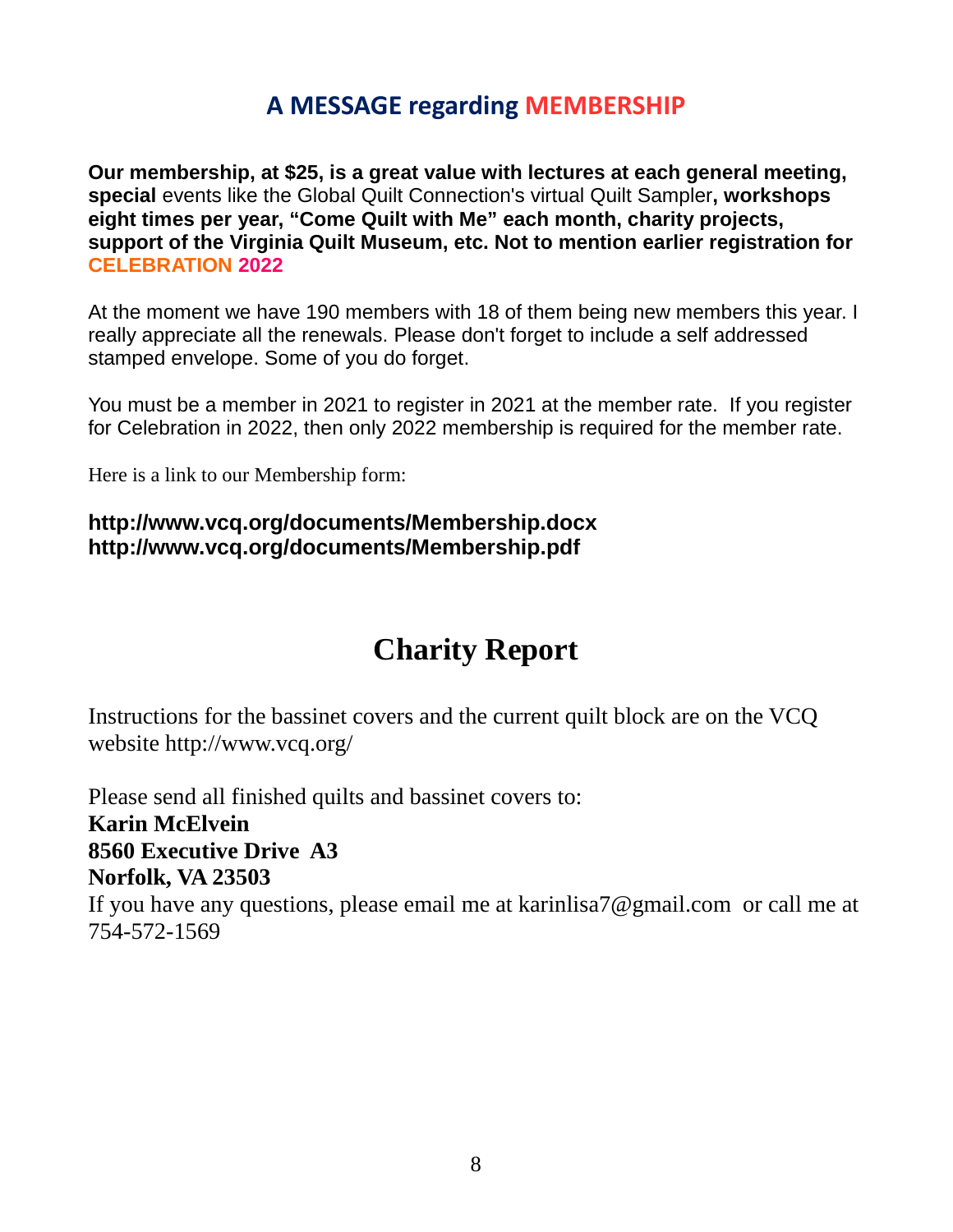## **A MESSAGE regarding MEMBERSHIP**

**Our membership, at \$25, is a great value with lectures at each general meeting, special** events like the Global Quilt Connection's virtual Quilt Sampler**, workshops eight times per year, "Come Quilt with Me" each month, charity projects, support of the Virginia Quilt Museum, etc. Not to mention earlier registration for CELEBRATION 2022**

At the moment we have 190 members with 18 of them being new members this year. I really appreciate all the renewals. Please don't forget to include a self addressed stamped envelope. Some of you do forget.

You must be a member in 2021 to register in 2021 at the member rate. If you register for Celebration in 2022, then only 2022 membership is required for the member rate.

Here is a link to our Membership form:

#### **<http://www.vcq.org/documents/Membership.docx> <http://www.vcq.org/documents/Membership.pdf>**

## **Charity Report**

Instructions for the bassinet covers and the current quilt block are on the VCQ website<http://www.vcq.org/>

Please send all finished quilts and bassinet covers to: **Karin McElvein 8560 Executive Drive A3 Norfolk, VA 23503** If you have any questions, please email me at [karinlisa7@gmail.com](mailto:karinlisa7@gmail.com) or call me at 754-572-1569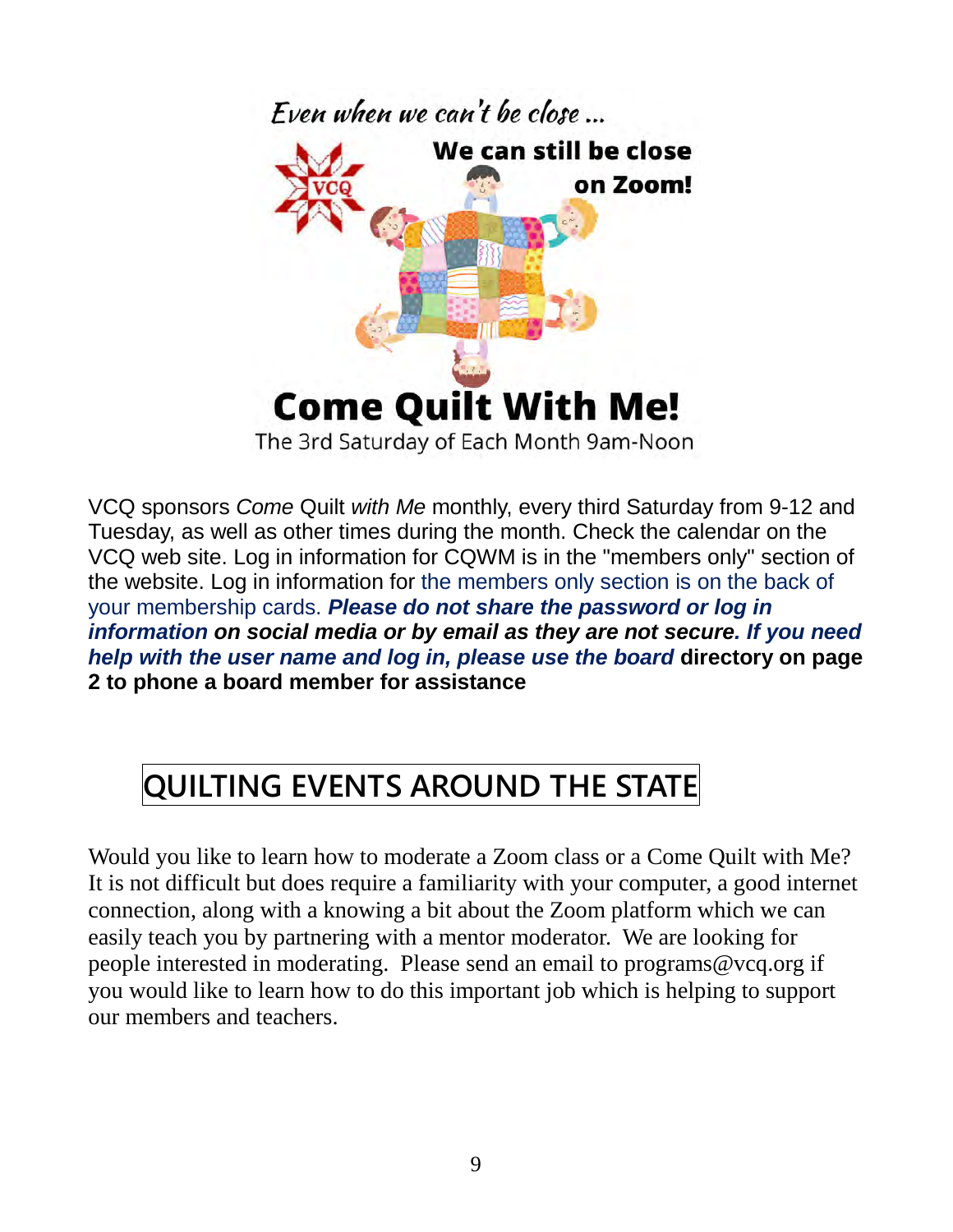

VCQ sponsors *Come* Quilt *with Me* monthly, every third Saturday from 9-12 and Tuesday, as well as other times during the month. Check the calendar on the VCQ web site. Log in information for CQWM is in the "members only" section of the website. Log in information for the members only section is on the back of your membership cards. *Please do not share the password or log in information on social media or by email as they are not secure. If you need help with the user name and log in, please use the board* **directory on page 2 to phone a board member for assistance**

# **QUILTING EVENTS AROUND THE STATE**

Would you like to learn how to moderate a Zoom class or a Come Quilt with Me? It is not difficult but does require a familiarity with your computer, a good internet connection, along with a knowing a bit about the Zoom platform which we can easily teach you by partnering with a mentor moderator. We are looking for people interested in moderating. Please send an email to [programs@vcq.org](mailto:programs@vcq.org) if you would like to learn how to do this important job which is helping to support our members and teachers.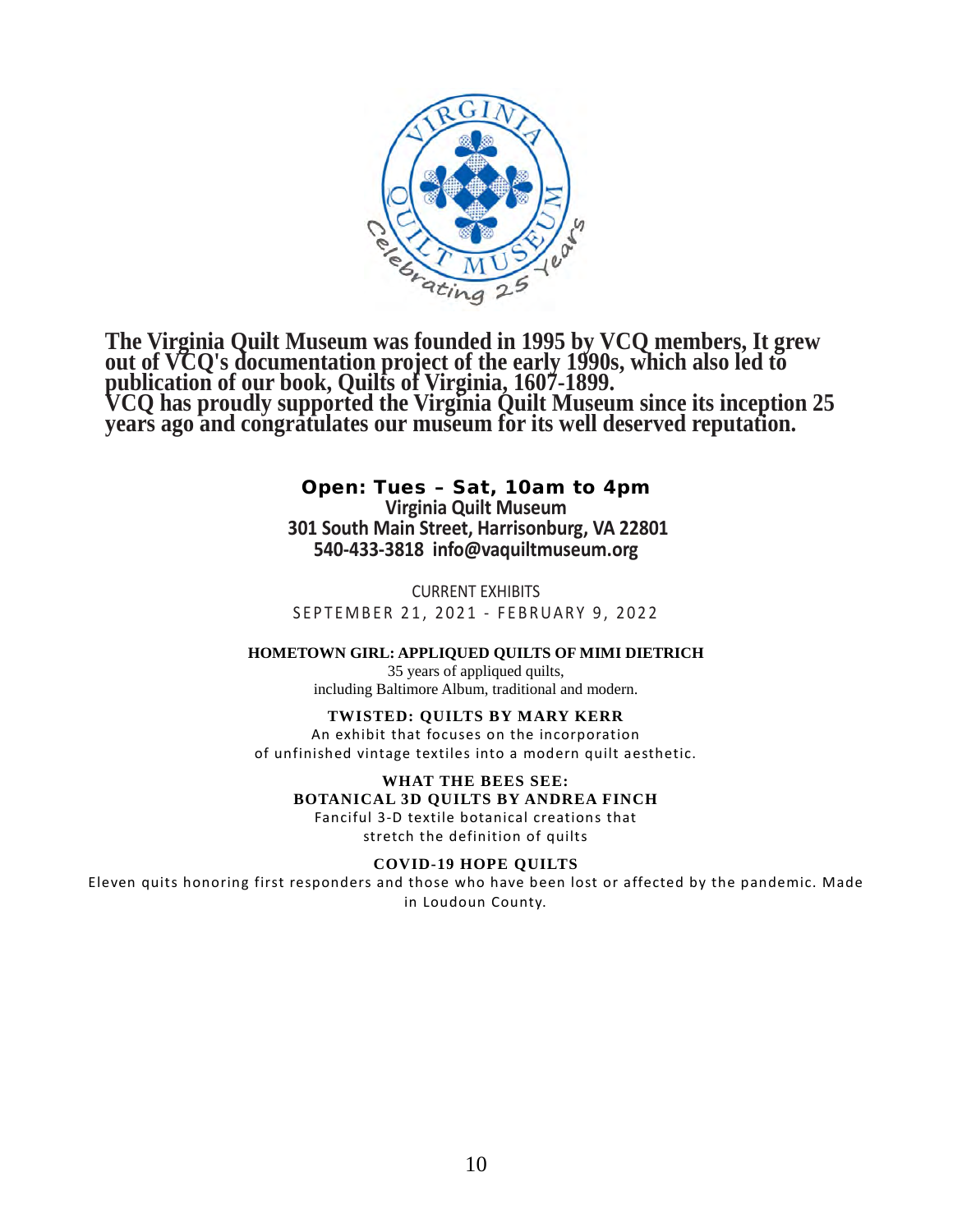

**The Virginia Quilt Museum was founded in 1995 by VCQ members, It grew out of VCQ's documentation project of the early 1990s, which also led to publication of our book, Quilts of Virginia, 1607-1899. VCQ has proudly supported the Virginia Quilt Museum since its inception 25 years ago and congratulates our museum for its well deserved reputation.**

> Open: Tues – Sat, 10am to 4pm **Virginia Quilt Museum 301 South Main Street, Harrisonburg, VA 22801 540-433-3818 [info@vaquiltmuseum.org](mailto:433-3818info@vaquiltmuseum.org)**

CURRENT EXHIBITS SEPTEMBER 21, 2021 - FEBRUARY 9, 2022

**HOMETOWN GIRL: APPLIQUED QUILTS OF MIMI DIETRICH**

35 years of appliqued quilts, including Baltimore Album, traditional and modern.

#### **TWISTED: QUILTS BY MARY KERR**

An exhibit that focuses on the incorporation of unfinished vintage textiles into a modern quilt aesthetic.

**WHAT THE BEES SEE: BOTANICAL 3D QUILTS BY ANDREA FINCH**

Fanciful 3-D textile botanical creations that stretch the definition of quilts

#### **COVID-19 HOPE QUILTS**

Eleven quits honoring first responders and those who have been lost or affected by the pandemic. Made in Loudoun County.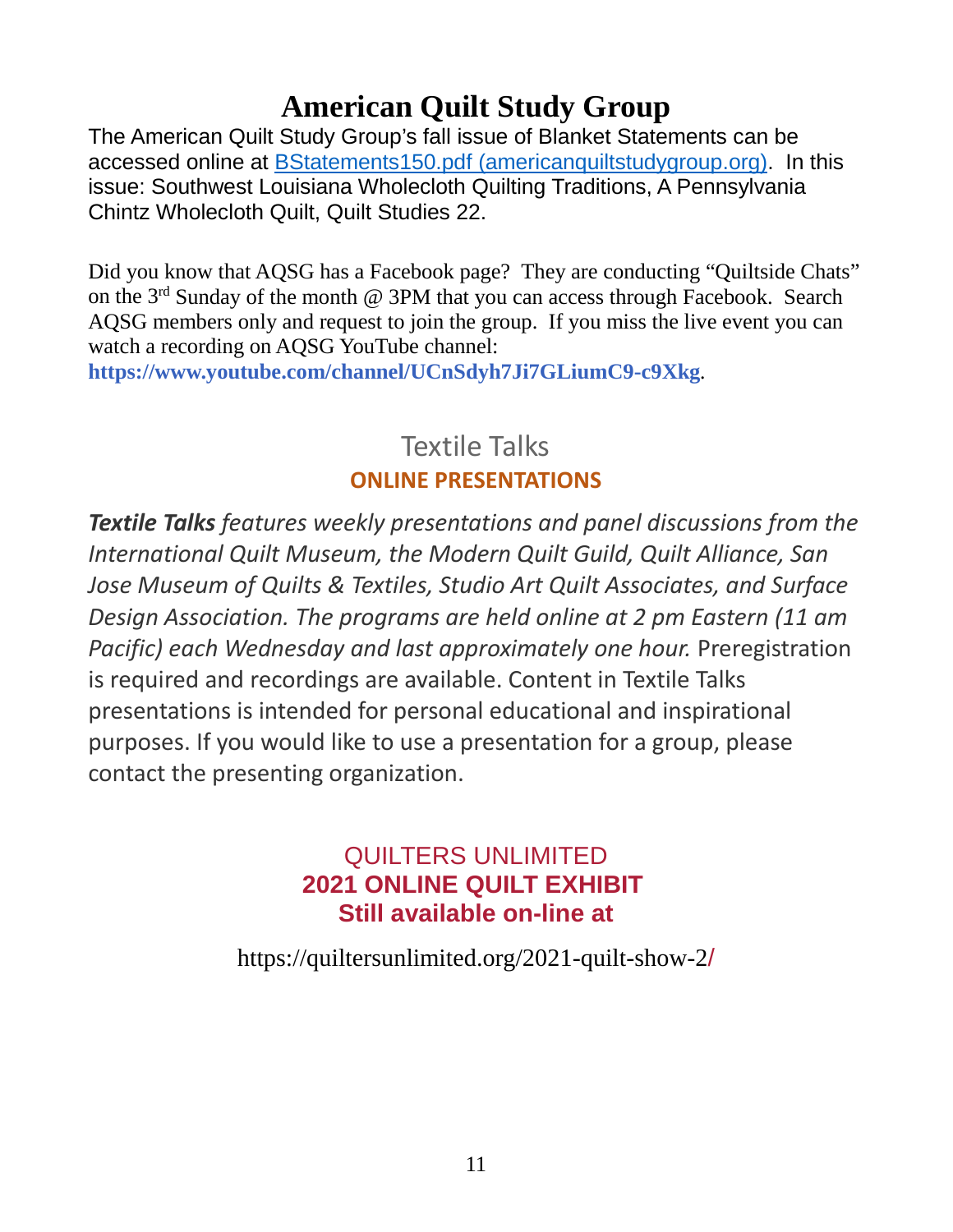## **American Quilt Study Group**

The American Quilt Study Group's fall issue of Blanket Statements can be accessed online at [BStatements150.pdf \(americanquiltstudygroup.org\).](https://americanquiltstudygroup.org/docs/ForMembers/BStatements150.pdf) In this issue: Southwest Louisiana Wholecloth Quilting Traditions, A Pennsylvania Chintz Wholecloth Quilt, Quilt Studies 22.

Did you know that AQSG has a Facebook page? They are conducting "Quiltside Chats" on the 3rd Sunday of the month @ 3PM that you can access through Facebook. Search AQSG members only and request to join the group. If you miss the live event you can watch a recording on AQSG YouTube channel:

**[https://www.youtube.com/channel/UCnSdyh7Ji7GLiumC9-c9Xkg](http://r20.rs6.net/tn.jsp?f=001HVj5_3wlfgdZe4E6s4SYbRWY0GK7loWhgjzUskdyYeOmqrVHCiE0fFQbzAvYESixy2bg0xYW4i-G8SRNLMP51SAfGkTcWesZMYGa4mhC4gSE2HcWAvABK7S60h0FIMFCNz7nazRuRUCNGJWE7aOXfI9YM7Z0HMz2RyQi-TFdSekyqzHqhIfoe0kcaqC0X5Pd&c=AkV4x1l4D302TWDjzipjxKHE5QaupwiYk84_kxXShk7emnjdb-6jlg==&ch=4aa0IHbd_3wy3Pz3IsvA990hB_keJ6XSBP23v0-9eeifgGU-eDbCtQ==)***.*

## Textile Talks **ONLINE PRESENTATIONS**

*Textile Talks features weekly presentations and panel discussions from the International Quilt Museum, the Modern Quilt Guild, Quilt Alliance, San Jose Museum of Quilts & Textiles, Studio Art Quilt Associates, and Surface Design Association. The programs are held online at 2 pm Eastern (11 am Pacific) each Wednesday and last approximately one hour.* Preregistration is required and recordings are available. Content in Textile Talks presentations is intended for personal educational and inspirational purposes. If you would like to use a presentation for a group, please contact the presenting organization.

## QUILTERS UNLIMITED **2021 ONLINE QUILT EXHIBIT Still available on-line at**

[https://quiltersunlimited.org/2021-quilt-show-2](https://quiltersunlimited.org/2021-quilt-show-2/)[/](https://quiltersunlimited.org/2021-quilt-show-2/)